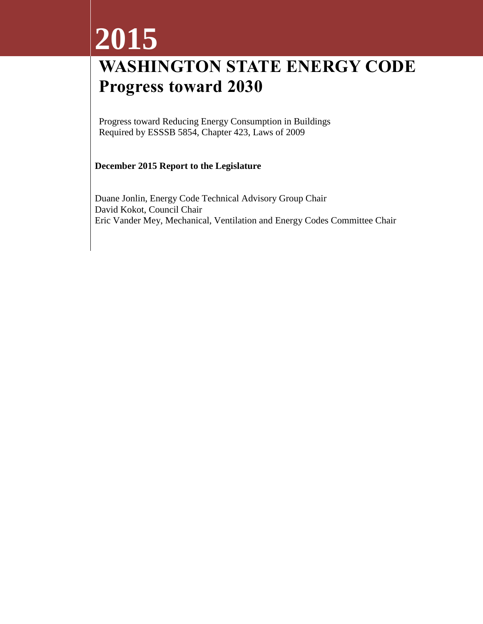# **2015**

# **WASHINGTON STATE ENERGY CODE Progress toward 2030**

Progress toward Reducing Energy Consumption in Buildings Required by ESSSB 5854, Chapter 423, Laws of 2009

#### **December 2015 Report to the Legislature**

Duane Jonlin, Energy Code Technical Advisory Group Chair David Kokot, Council Chair Eric Vander Mey, Mechanical, Ventilation and Energy Codes Committee Chair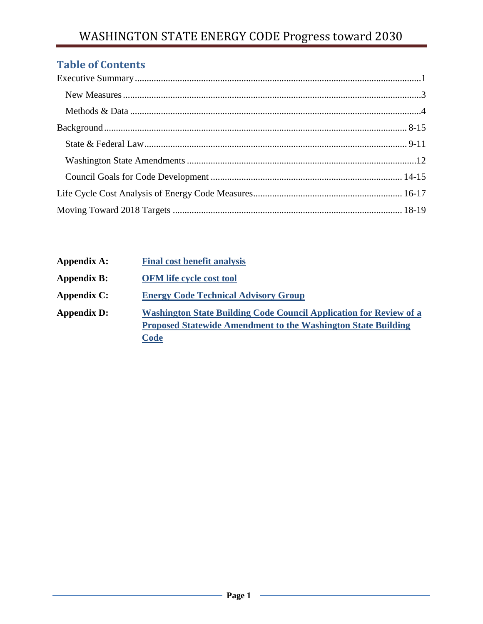## **Table of Contents**

| <b>Appendix A:</b> | <b>Final cost benefit analysis</b>                                                                                                                        |
|--------------------|-----------------------------------------------------------------------------------------------------------------------------------------------------------|
| <b>Appendix B:</b> | <b>OFM</b> life cycle cost tool                                                                                                                           |
| <b>Appendix C:</b> | <b>Energy Code Technical Advisory Group</b>                                                                                                               |
| <b>Appendix D:</b> | <b>Washington State Building Code Council Application for Review of a</b><br><b>Proposed Statewide Amendment to the Washington State Building</b><br>Code |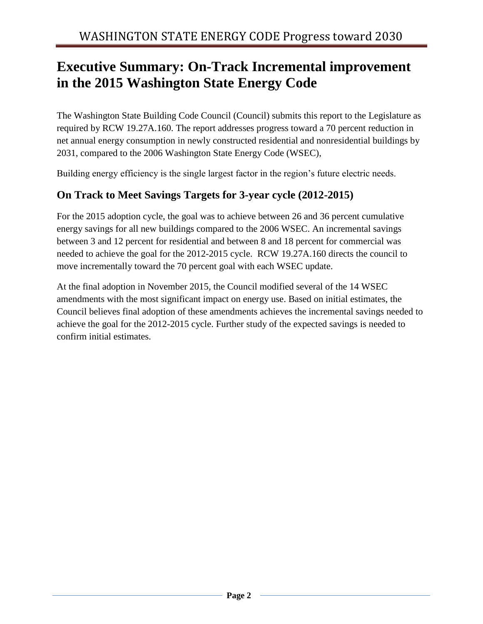## **Executive Summary: On-Track Incremental improvement in the 2015 Washington State Energy Code**

The Washington State Building Code Council (Council) submits this report to the Legislature as required by RCW 19.27A.160. The report addresses progress toward a 70 percent reduction in net annual energy consumption in newly constructed residential and nonresidential buildings by 2031, compared to the 2006 Washington State Energy Code (WSEC),

Building energy efficiency is the single largest factor in the region's future electric needs.

## **On Track to Meet Savings Targets for 3-year cycle (2012-2015)**

For the 2015 adoption cycle, the goal was to achieve between 26 and 36 percent cumulative energy savings for all new buildings compared to the 2006 WSEC. An incremental savings between 3 and 12 percent for residential and between 8 and 18 percent for commercial was needed to achieve the goal for the 2012-2015 cycle. RCW 19.27A.160 directs the council to move incrementally toward the 70 percent goal with each WSEC update.

At the final adoption in November 2015, the Council modified several of the 14 WSEC amendments with the most significant impact on energy use. Based on initial estimates, the Council believes final adoption of these amendments achieves the incremental savings needed to achieve the goal for the 2012-2015 cycle. Further study of the expected savings is needed to confirm initial estimates.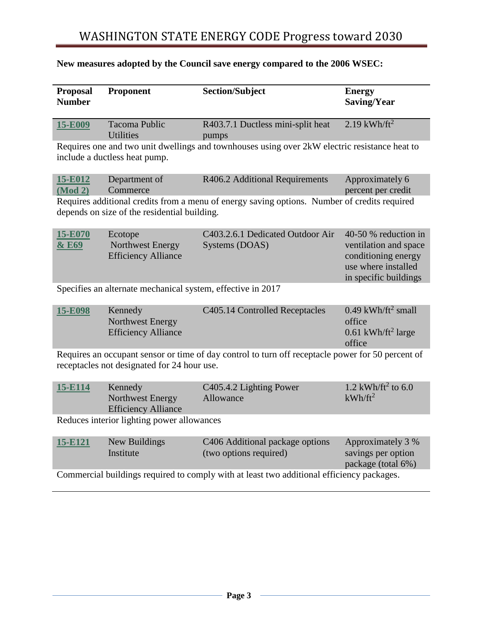# WASHINGTON STATE ENERGY CODE Progress toward 2030

| <b>Proposal</b><br><b>Number</b>                                                                                                                 | Proponent                                                 | <b>Section/Subject</b>                                                                        | <b>Energy</b><br>Saving/Year                                                                                         |  |  |  |
|--------------------------------------------------------------------------------------------------------------------------------------------------|-----------------------------------------------------------|-----------------------------------------------------------------------------------------------|----------------------------------------------------------------------------------------------------------------------|--|--|--|
| 15-E009                                                                                                                                          | <b>Tacoma Public</b><br><b>Utilities</b>                  | R403.7.1 Ductless mini-split heat<br>pumps                                                    | $2.19$ kWh/ft <sup>2</sup>                                                                                           |  |  |  |
|                                                                                                                                                  | include a ductless heat pump.                             | Requires one and two unit dwellings and townhouses using over 2kW electric resistance heat to |                                                                                                                      |  |  |  |
| 15-E012<br>(Mod 2)                                                                                                                               | Department of<br>Commerce                                 | R406.2 Additional Requirements                                                                | Approximately 6<br>percent per credit                                                                                |  |  |  |
|                                                                                                                                                  | depends on size of the residential building.              | Requires additional credits from a menu of energy saving options. Number of credits required  |                                                                                                                      |  |  |  |
| 15-E070<br>& E69                                                                                                                                 | Ecotope<br>Northwest Energy<br><b>Efficiency Alliance</b> | C403.2.6.1 Dedicated Outdoor Air<br>Systems (DOAS)                                            | 40-50 % reduction in<br>ventilation and space<br>conditioning energy<br>use where installed<br>in specific buildings |  |  |  |
| Specifies an alternate mechanical system, effective in 2017                                                                                      |                                                           |                                                                                               |                                                                                                                      |  |  |  |
| 15-E098                                                                                                                                          | Kennedy<br>Northwest Energy<br><b>Efficiency Alliance</b> | C405.14 Controlled Receptacles                                                                | $0.49$ kWh/ft <sup>2</sup> small<br>office<br>$0.61$ kWh/ft <sup>2</sup> large<br>office                             |  |  |  |
| Requires an occupant sensor or time of day control to turn off receptacle power for 50 percent of<br>receptacles not designated for 24 hour use. |                                                           |                                                                                               |                                                                                                                      |  |  |  |
| 15-E114                                                                                                                                          | Kennedy<br>Northwest Energy<br><b>Efficiency Alliance</b> | C405.4.2 Lighting Power<br>Allowance                                                          | 1.2 kWh/ft <sup>2</sup> to 6.0<br>$kWh/ft^2$                                                                         |  |  |  |
|                                                                                                                                                  | Reduces interior lighting power allowances                |                                                                                               |                                                                                                                      |  |  |  |
| 15-E121                                                                                                                                          | New Buildings<br>Institute                                | C406 Additional package options<br>(two options required)                                     | Approximately 3 %<br>savings per option<br>package (total 6%)                                                        |  |  |  |
| Commercial buildings required to comply with at least two additional efficiency packages.                                                        |                                                           |                                                                                               |                                                                                                                      |  |  |  |

## **New measures adopted by the Council save energy compared to the 2006 WSEC:**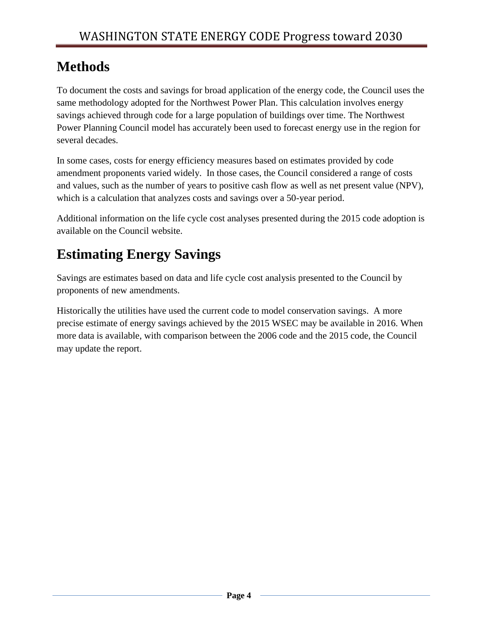# **Methods**

To document the costs and savings for broad application of the energy code, the Council uses the same methodology adopted for the Northwest Power Plan. This calculation involves energy savings achieved through code for a large population of buildings over time. The Northwest Power Planning Council model has accurately been used to forecast energy use in the region for several decades.

In some cases, costs for energy efficiency measures based on estimates provided by code amendment proponents varied widely. In those cases, the Council considered a range of costs and values, such as the number of years to positive cash flow as well as net present value (NPV), which is a calculation that analyzes costs and savings over a 50-year period.

Additional information on the life cycle cost analyses presented during the 2015 code adoption is available on the Council website.

# **Estimating Energy Savings**

Savings are estimates based on data and life cycle cost analysis presented to the Council by proponents of new amendments.

Historically the utilities have used the current code to model conservation savings. A more precise estimate of energy savings achieved by the 2015 WSEC may be available in 2016. When more data is available, with comparison between the 2006 code and the 2015 code, the Council may update the report.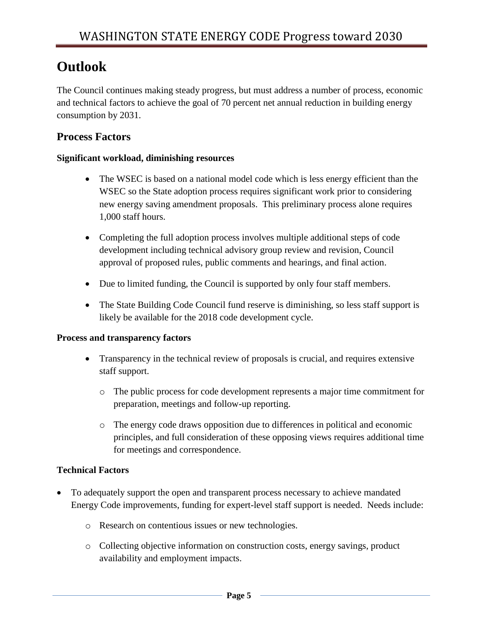# **Outlook**

The Council continues making steady progress, but must address a number of process, economic and technical factors to achieve the goal of 70 percent net annual reduction in building energy consumption by 2031.

## **Process Factors**

#### **Significant workload, diminishing resources**

- The WSEC is based on a national model code which is less energy efficient than the WSEC so the State adoption process requires significant work prior to considering new energy saving amendment proposals. This preliminary process alone requires 1,000 staff hours.
- Completing the full adoption process involves multiple additional steps of code development including technical advisory group review and revision, Council approval of proposed rules, public comments and hearings, and final action.
- Due to limited funding, the Council is supported by only four staff members.
- The State Building Code Council fund reserve is diminishing, so less staff support is likely be available for the 2018 code development cycle.

#### **Process and transparency factors**

- Transparency in the technical review of proposals is crucial, and requires extensive staff support.
	- o The public process for code development represents a major time commitment for preparation, meetings and follow-up reporting.
	- o The energy code draws opposition due to differences in political and economic principles, and full consideration of these opposing views requires additional time for meetings and correspondence.

#### **Technical Factors**

- To adequately support the open and transparent process necessary to achieve mandated Energy Code improvements, funding for expert-level staff support is needed. Needs include:
	- o Research on contentious issues or new technologies.
	- o Collecting objective information on construction costs, energy savings, product availability and employment impacts.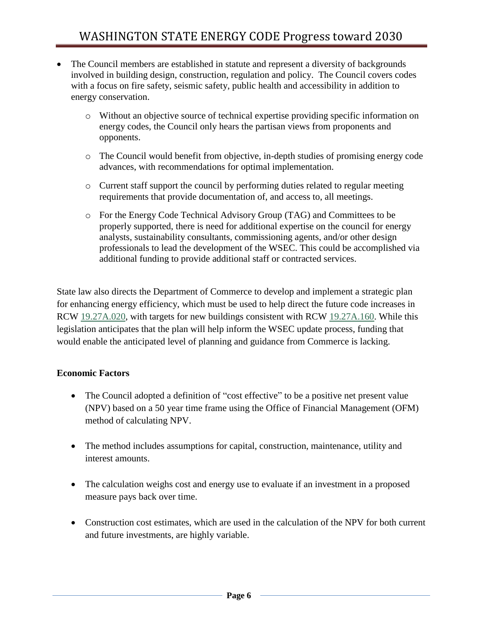- The Council members are established in statute and represent a diversity of backgrounds involved in building design, construction, regulation and policy. The Council covers codes with a focus on fire safety, seismic safety, public health and accessibility in addition to energy conservation.
	- o Without an objective source of technical expertise providing specific information on energy codes, the Council only hears the partisan views from proponents and opponents.
	- o The Council would benefit from objective, in-depth studies of promising energy code advances, with recommendations for optimal implementation.
	- o Current staff support the council by performing duties related to regular meeting requirements that provide documentation of, and access to, all meetings.
	- o For the Energy Code Technical Advisory Group (TAG) and Committees to be properly supported, there is need for additional expertise on the council for energy analysts, sustainability consultants, commissioning agents, and/or other design professionals to lead the development of the WSEC. This could be accomplished via additional funding to provide additional staff or contracted services.

State law also directs the Department of Commerce to develop and implement a strategic plan for enhancing energy efficiency, which must be used to help direct the future code increases in RCW [19.27A.020,](http://app.leg.wa.gov/RCW/default.aspx?cite=19.27A.020) with targets for new buildings consistent with RCW [19.27A.160.](http://app.leg.wa.gov/RCW/default.aspx?cite=19.27A.160) While this legislation anticipates that the plan will help inform the WSEC update process, funding that would enable the anticipated level of planning and guidance from Commerce is lacking.

#### **Economic Factors**

- The Council adopted a definition of "cost effective" to be a positive net present value (NPV) based on a 50 year time frame using the Office of Financial Management (OFM) method of calculating NPV.
- The method includes assumptions for capital, construction, maintenance, utility and interest amounts.
- The calculation weighs cost and energy use to evaluate if an investment in a proposed measure pays back over time.
- Construction cost estimates, which are used in the calculation of the NPV for both current and future investments, are highly variable.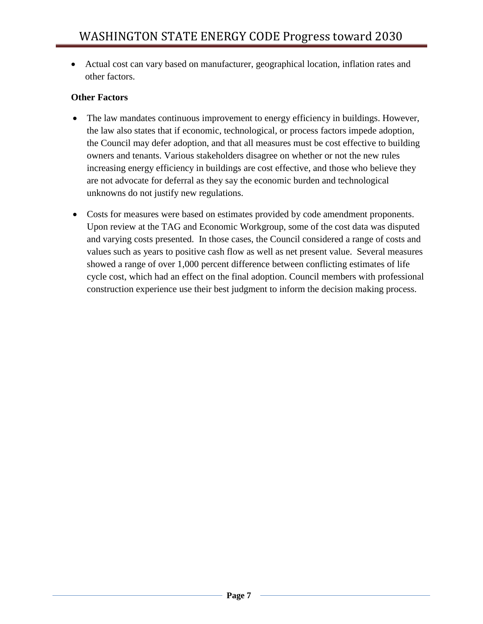Actual cost can vary based on manufacturer, geographical location, inflation rates and other factors.

#### **Other Factors**

- The law mandates continuous improvement to energy efficiency in buildings. However, the law also states that if economic, technological, or process factors impede adoption, the Council may defer adoption, and that all measures must be cost effective to building owners and tenants. Various stakeholders disagree on whether or not the new rules increasing energy efficiency in buildings are cost effective, and those who believe they are not advocate for deferral as they say the economic burden and technological unknowns do not justify new regulations.
- Costs for measures were based on estimates provided by code amendment proponents. Upon review at the TAG and Economic Workgroup, some of the cost data was disputed and varying costs presented. In those cases, the Council considered a range of costs and values such as years to positive cash flow as well as net present value. Several measures showed a range of over 1,000 percent difference between conflicting estimates of life cycle cost, which had an effect on the final adoption. Council members with professional construction experience use their best judgment to inform the decision making process.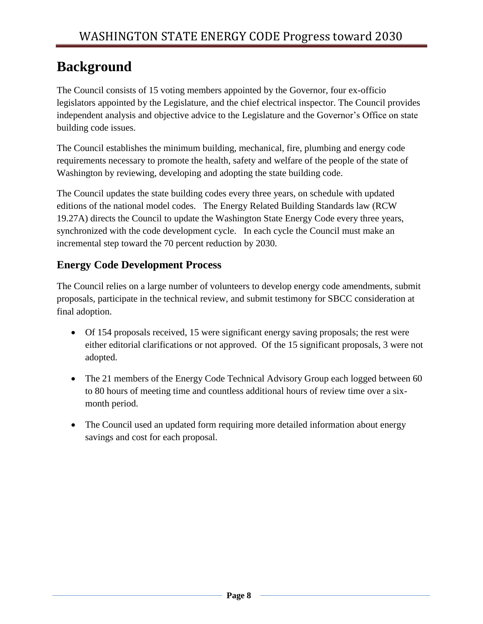# **Background**

The Council consists of 15 voting members appointed by the Governor, four ex-officio legislators appointed by the Legislature, and the chief electrical inspector. The Council provides independent analysis and objective advice to the Legislature and the Governor's Office on state building code issues.

The Council establishes the minimum building, mechanical, fire, plumbing and energy code requirements necessary to promote the health, safety and welfare of the people of the state of Washington by reviewing, developing and adopting the state building code.

The Council updates the state building codes every three years, on schedule with updated editions of the national model codes. The Energy Related Building Standards law (RCW 19.27A) directs the Council to update the Washington State Energy Code every three years, synchronized with the code development cycle. In each cycle the Council must make an incremental step toward the 70 percent reduction by 2030.

## **Energy Code Development Process**

The Council relies on a large number of volunteers to develop energy code amendments, submit proposals, participate in the technical review, and submit testimony for SBCC consideration at final adoption.

- Of 154 proposals received, 15 were significant energy saving proposals; the rest were either editorial clarifications or not approved. Of the 15 significant proposals, 3 were not adopted.
- The 21 members of the Energy Code Technical Advisory Group each logged between 60 to 80 hours of meeting time and countless additional hours of review time over a sixmonth period.
- The Council used an updated form requiring more detailed information about energy savings and cost for each proposal.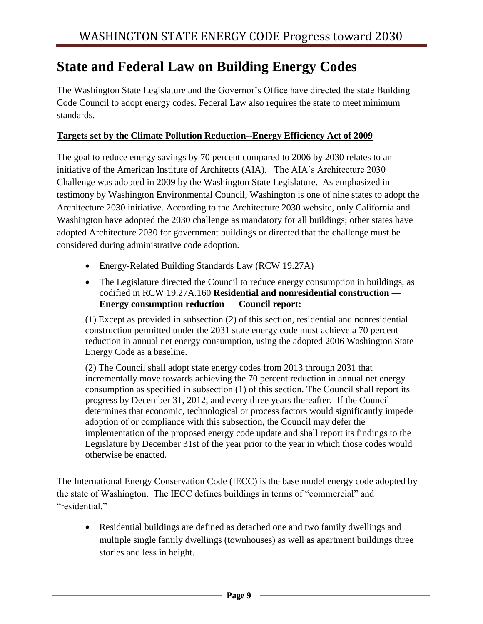## **State and Federal Law on Building Energy Codes**

The Washington State Legislature and the Governor's Office have directed the state Building Code Council to adopt energy codes. Federal Law also requires the state to meet minimum standards.

#### **Targets set by the Climate Pollution Reduction--Energy Efficiency Act of 2009**

The goal to reduce energy savings by 70 percent compared to 2006 by 2030 relates to an initiative of the American Institute of Architects (AIA). The AIA's Architecture 2030 Challenge was adopted in 2009 by the Washington State Legislature. As emphasized in testimony by Washington Environmental Council, Washington is one of nine states to adopt the Architecture 2030 initiative. According to the Architecture 2030 website, only California and Washington have adopted the 2030 challenge as mandatory for all buildings; other states have adopted Architecture 2030 for government buildings or directed that the challenge must be considered during administrative code adoption.

- Energy-Related Building Standards Law (RCW 19.27A)
- The Legislature directed the Council to reduce energy consumption in buildings, as codified in RCW 19.27A.160 **Residential and nonresidential construction — Energy consumption reduction — Council report:**

(1) Except as provided in subsection (2) of this section, residential and nonresidential construction permitted under the 2031 state energy code must achieve a 70 percent reduction in annual net energy consumption, using the adopted 2006 Washington State Energy Code as a baseline.

(2) The Council shall adopt state energy codes from 2013 through 2031 that incrementally move towards achieving the 70 percent reduction in annual net energy consumption as specified in subsection (1) of this section. The Council shall report its progress by December 31, 2012, and every three years thereafter. If the Council determines that economic, technological or process factors would significantly impede adoption of or compliance with this subsection, the Council may defer the implementation of the proposed energy code update and shall report its findings to the Legislature by December 31st of the year prior to the year in which those codes would otherwise be enacted.

The International Energy Conservation Code (IECC) is the base model energy code adopted by the state of Washington. The IECC defines buildings in terms of "commercial" and "residential"

 Residential buildings are defined as detached one and two family dwellings and multiple single family dwellings (townhouses) as well as apartment buildings three stories and less in height.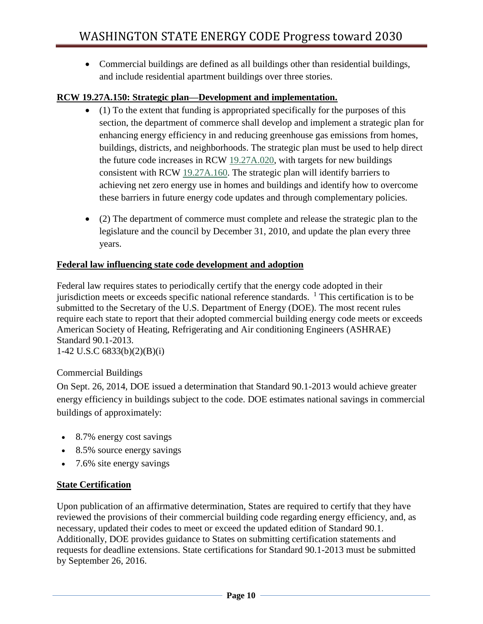Commercial buildings are defined as all buildings other than residential buildings, and include residential apartment buildings over three stories.

#### **RCW 19.27A.150: Strategic plan—Development and implementation.**

- $\bullet$  (1) To the extent that funding is appropriated specifically for the purposes of this section, the department of commerce shall develop and implement a strategic plan for enhancing energy efficiency in and reducing greenhouse gas emissions from homes, buildings, districts, and neighborhoods. The strategic plan must be used to help direct the future code increases in RCW [19.27A.020,](http://app.leg.wa.gov/RCW/default.aspx?cite=19.27A.020) with targets for new buildings consistent with RCW [19.27A.160.](http://app.leg.wa.gov/RCW/default.aspx?cite=19.27A.160) The strategic plan will identify barriers to achieving net zero energy use in homes and buildings and identify how to overcome these barriers in future energy code updates and through complementary policies.
- (2) The department of commerce must complete and release the strategic plan to the legislature and the council by December 31, 2010, and update the plan every three years.

#### **Federal law influencing state code development and adoption**

Federal law requires states to periodically certify that the energy code adopted in their jurisdiction meets or exceeds specific national reference standards.  $\frac{1}{1}$  This certification is to be submitted to the Secretary of the U.S. Department of Energy (DOE). The most recent rules require each state to report that their adopted commercial building energy code meets or exceeds American Society of Heating, Refrigerating and Air conditioning Engineers (ASHRAE) Standard 90.1-2013.

1-42 U.S.C 6833(b)(2)(B)(i)

#### Commercial Buildings

On Sept. 26, 2014, DOE issued a determination that Standard 90.1-2013 would achieve greater energy efficiency in buildings subject to the code. DOE estimates national savings in commercial buildings of approximately:

- 8.7% energy cost savings
- 8.5% source energy savings
- 7.6% site energy savings

#### **State Certification**

Upon publication of an affirmative determination, States are required to certify that they have reviewed the provisions of their commercial building code regarding energy efficiency, and, as necessary, updated their codes to meet or exceed the updated edition of Standard 90.1. Additionally, DOE provides guidance to States on submitting certification statements and requests for deadline extensions. State certifications for Standard 90.1-2013 must be submitted by September 26, 2016.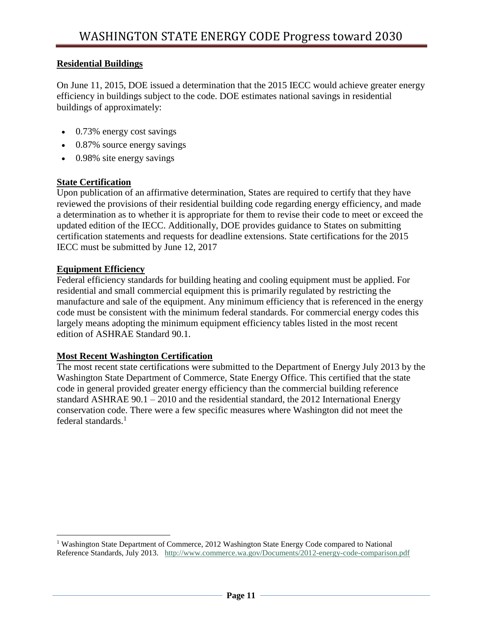#### **Residential Buildings**

On June 11, 2015, DOE issued a determination that the 2015 IECC would achieve greater energy efficiency in buildings subject to the code. DOE estimates national savings in residential buildings of approximately:

- 0.73% energy cost savings
- 0.87% source energy savings
- 0.98% site energy savings

#### **State Certification**

Upon publication of an affirmative determination, States are required to certify that they have reviewed the provisions of their residential building code regarding energy efficiency, and made a determination as to whether it is appropriate for them to revise their code to meet or exceed the updated edition of the IECC. Additionally, DOE provides guidance to States on submitting certification statements and requests for deadline extensions. State certifications for the 2015 IECC must be submitted by June 12, 2017

#### **Equipment Efficiency**

 $\overline{\phantom{a}}$ 

Federal efficiency standards for building heating and cooling equipment must be applied. For residential and small commercial equipment this is primarily regulated by restricting the manufacture and sale of the equipment. Any minimum efficiency that is referenced in the energy code must be consistent with the minimum federal standards. For commercial energy codes this largely means adopting the minimum equipment efficiency tables listed in the most recent edition of ASHRAE Standard 90.1.

#### **Most Recent Washington Certification**

The most recent state certifications were submitted to the Department of Energy July 2013 by the Washington State Department of Commerce, State Energy Office. This certified that the state code in general provided greater energy efficiency than the commercial building reference standard ASHRAE 90.1 – 2010 and the residential standard, the 2012 International Energy conservation code. There were a few specific measures where Washington did not meet the federal standards.<sup>1</sup>

<sup>1</sup> Washington State Department of Commerce, 2012 Washington State Energy Code compared to National Reference Standards, July 2013. <http://www.commerce.wa.gov/Documents/2012-energy-code-comparison.pdf>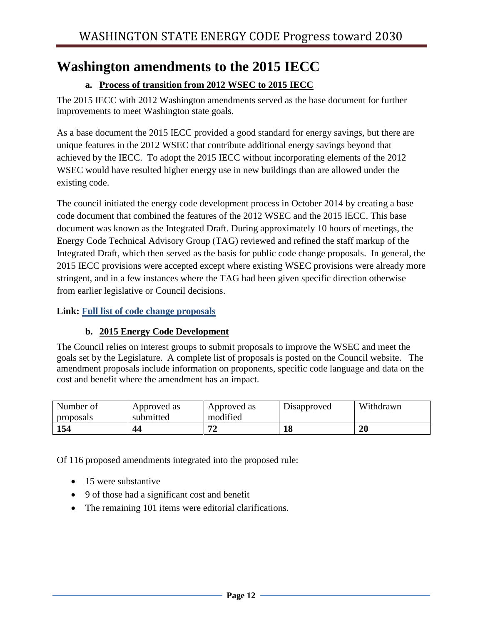## **Washington amendments to the 2015 IECC**

### **a. Process of transition from 2012 WSEC to 2015 IECC**

The 2015 IECC with 2012 Washington amendments served as the base document for further improvements to meet Washington state goals.

As a base document the 2015 IECC provided a good standard for energy savings, but there are unique features in the 2012 WSEC that contribute additional energy savings beyond that achieved by the IECC. To adopt the 2015 IECC without incorporating elements of the 2012 WSEC would have resulted higher energy use in new buildings than are allowed under the existing code.

The council initiated the energy code development process in October 2014 by creating a base code document that combined the features of the 2012 WSEC and the 2015 IECC. This base document was known as the Integrated Draft. During approximately 10 hours of meetings, the Energy Code Technical Advisory Group (TAG) reviewed and refined the staff markup of the Integrated Draft, which then served as the basis for public code change proposals. In general, the 2015 IECC provisions were accepted except where existing WSEC provisions were already more stringent, and in a few instances where the TAG had been given specific direction otherwise from earlier legislative or Council decisions.

#### **Link: [Full list of code change proposals](https://fortress.wa.gov/ga/apps/SBCC/Page.aspx?cid=4883)**

#### **b. 2015 Energy Code Development**

The Council relies on interest groups to submit proposals to improve the WSEC and meet the goals set by the Legislature. A complete list of proposals is posted on the Council website. The amendment proposals include information on proponents, specific code language and data on the cost and benefit where the amendment has an impact.

| Number of<br>proposals | Approved as<br>submitted | Approved as<br>modified | Disapproved | Withdrawn |
|------------------------|--------------------------|-------------------------|-------------|-----------|
| 154                    | 44                       |                         |             | $20\,$    |

Of 116 proposed amendments integrated into the proposed rule:

- 15 were substantive
- 9 of those had a significant cost and benefit
- The remaining 101 items were editorial clarifications.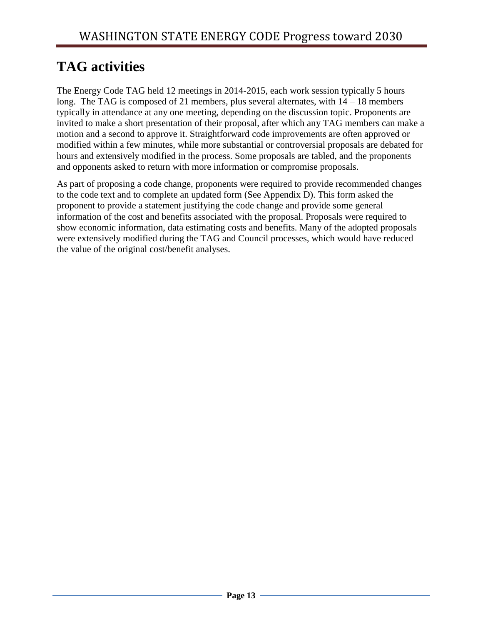# **TAG activities**

The Energy Code TAG held 12 meetings in 2014-2015, each work session typically 5 hours long. The TAG is composed of 21 members, plus several alternates, with  $14 - 18$  members typically in attendance at any one meeting, depending on the discussion topic. Proponents are invited to make a short presentation of their proposal, after which any TAG members can make a motion and a second to approve it. Straightforward code improvements are often approved or modified within a few minutes, while more substantial or controversial proposals are debated for hours and extensively modified in the process. Some proposals are tabled, and the proponents and opponents asked to return with more information or compromise proposals.

As part of proposing a code change, proponents were required to provide recommended changes to the code text and to complete an updated form (See Appendix D). This form asked the proponent to provide a statement justifying the code change and provide some general information of the cost and benefits associated with the proposal. Proposals were required to show economic information, data estimating costs and benefits. Many of the adopted proposals were extensively modified during the TAG and Council processes, which would have reduced the value of the original cost/benefit analyses.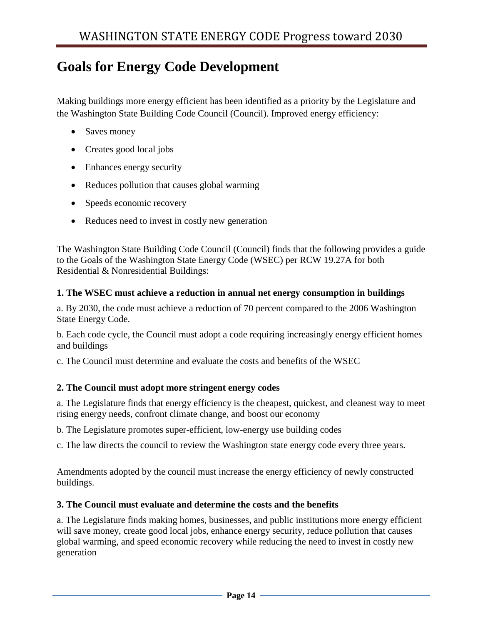## **Goals for Energy Code Development**

Making buildings more energy efficient has been identified as a priority by the Legislature and the Washington State Building Code Council (Council). Improved energy efficiency:

- Saves money
- Creates good local jobs
- Enhances energy security
- Reduces pollution that causes global warming
- Speeds economic recovery
- Reduces need to invest in costly new generation

The Washington State Building Code Council (Council) finds that the following provides a guide to the Goals of the Washington State Energy Code (WSEC) per RCW 19.27A for both Residential & Nonresidential Buildings:

#### **1. The WSEC must achieve a reduction in annual net energy consumption in buildings**

a. By 2030, the code must achieve a reduction of 70 percent compared to the 2006 Washington State Energy Code.

b. Each code cycle, the Council must adopt a code requiring increasingly energy efficient homes and buildings

c. The Council must determine and evaluate the costs and benefits of the WSEC

#### **2. The Council must adopt more stringent energy codes**

a. The Legislature finds that energy efficiency is the cheapest, quickest, and cleanest way to meet rising energy needs, confront climate change, and boost our economy

b. The Legislature promotes super-efficient, low-energy use building codes

c. The law directs the council to review the Washington state energy code every three years.

Amendments adopted by the council must increase the energy efficiency of newly constructed buildings.

#### **3. The Council must evaluate and determine the costs and the benefits**

a. The Legislature finds making homes, businesses, and public institutions more energy efficient will save money, create good local jobs, enhance energy security, reduce pollution that causes global warming, and speed economic recovery while reducing the need to invest in costly new generation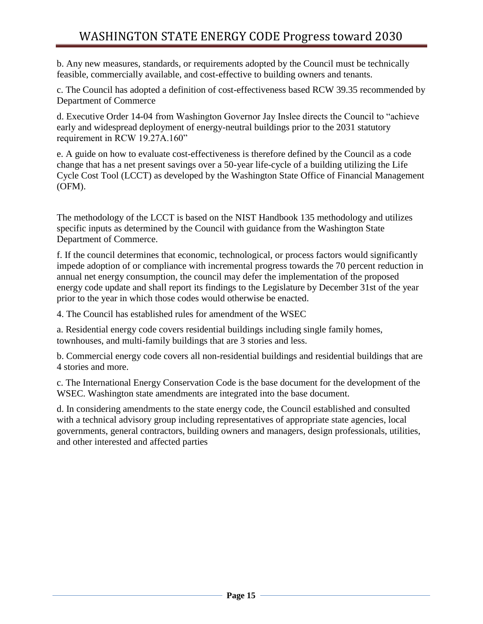b. Any new measures, standards, or requirements adopted by the Council must be technically feasible, commercially available, and cost-effective to building owners and tenants.

c. The Council has adopted a definition of cost-effectiveness based RCW 39.35 recommended by Department of Commerce

d. Executive Order 14-04 from Washington Governor Jay Inslee directs the Council to "achieve early and widespread deployment of energy-neutral buildings prior to the 2031 statutory requirement in RCW 19.27A.160"

e. A guide on how to evaluate cost-effectiveness is therefore defined by the Council as a code change that has a net present savings over a 50-year life-cycle of a building utilizing the Life Cycle Cost Tool (LCCT) as developed by the Washington State Office of Financial Management (OFM).

The methodology of the LCCT is based on the NIST Handbook 135 methodology and utilizes specific inputs as determined by the Council with guidance from the Washington State Department of Commerce.

f. If the council determines that economic, technological, or process factors would significantly impede adoption of or compliance with incremental progress towards the 70 percent reduction in annual net energy consumption, the council may defer the implementation of the proposed energy code update and shall report its findings to the Legislature by December 31st of the year prior to the year in which those codes would otherwise be enacted.

4. The Council has established rules for amendment of the WSEC

a. Residential energy code covers residential buildings including single family homes, townhouses, and multi-family buildings that are 3 stories and less.

b. Commercial energy code covers all non-residential buildings and residential buildings that are 4 stories and more.

c. The International Energy Conservation Code is the base document for the development of the WSEC. Washington state amendments are integrated into the base document.

d. In considering amendments to the state energy code, the Council established and consulted with a technical advisory group including representatives of appropriate state agencies, local governments, general contractors, building owners and managers, design professionals, utilities, and other interested and affected parties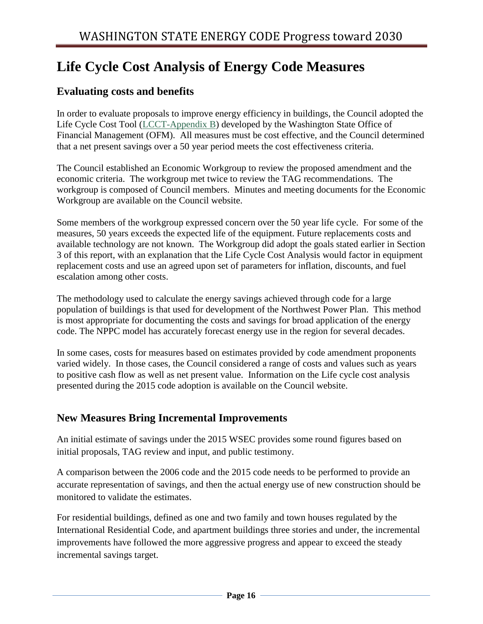# **Life Cycle Cost Analysis of Energy Code Measures**

## **Evaluating costs and benefits**

In order to evaluate proposals to improve energy efficiency in buildings, the Council adopted the Life Cycle Cost Tool [\(LCCT-Appendix B\)](https://fortress.wa.gov/ga/apps/SBCC/File.ashx?cid=6075) developed by the Washington State Office of Financial Management (OFM). All measures must be cost effective, and the Council determined that a net present savings over a 50 year period meets the cost effectiveness criteria.

The Council established an Economic Workgroup to review the proposed amendment and the economic criteria. The workgroup met twice to review the TAG recommendations. The workgroup is composed of Council members. Minutes and meeting documents for the Economic Workgroup are available on the Council website.

Some members of the workgroup expressed concern over the 50 year life cycle. For some of the measures, 50 years exceeds the expected life of the equipment. Future replacements costs and available technology are not known. The Workgroup did adopt the goals stated earlier in Section 3 of this report, with an explanation that the Life Cycle Cost Analysis would factor in equipment replacement costs and use an agreed upon set of parameters for inflation, discounts, and fuel escalation among other costs.

The methodology used to calculate the energy savings achieved through code for a large population of buildings is that used for development of the Northwest Power Plan. This method is most appropriate for documenting the costs and savings for broad application of the energy code. The NPPC model has accurately forecast energy use in the region for several decades.

In some cases, costs for measures based on estimates provided by code amendment proponents varied widely. In those cases, the Council considered a range of costs and values such as years to positive cash flow as well as net present value. Information on the Life cycle cost analysis presented during the 2015 code adoption is available on the Council website.

## **New Measures Bring Incremental Improvements**

An initial estimate of savings under the 2015 WSEC provides some round figures based on initial proposals, TAG review and input, and public testimony.

A comparison between the 2006 code and the 2015 code needs to be performed to provide an accurate representation of savings, and then the actual energy use of new construction should be monitored to validate the estimates.

For residential buildings, defined as one and two family and town houses regulated by the International Residential Code, and apartment buildings three stories and under, the incremental improvements have followed the more aggressive progress and appear to exceed the steady incremental savings target.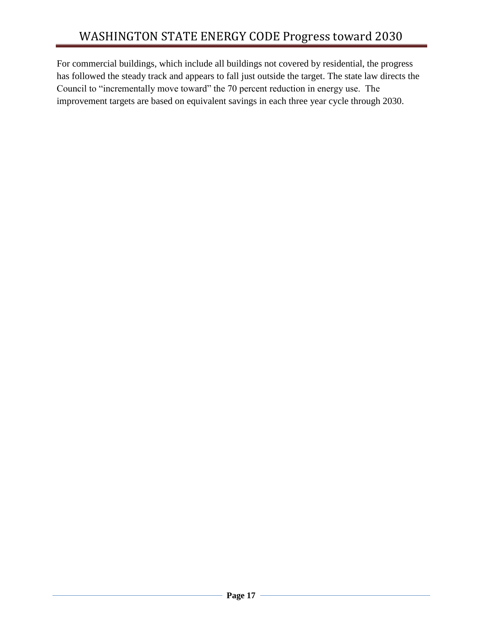For commercial buildings, which include all buildings not covered by residential, the progress has followed the steady track and appears to fall just outside the target. The state law directs the Council to "incrementally move toward" the 70 percent reduction in energy use. The improvement targets are based on equivalent savings in each three year cycle through 2030.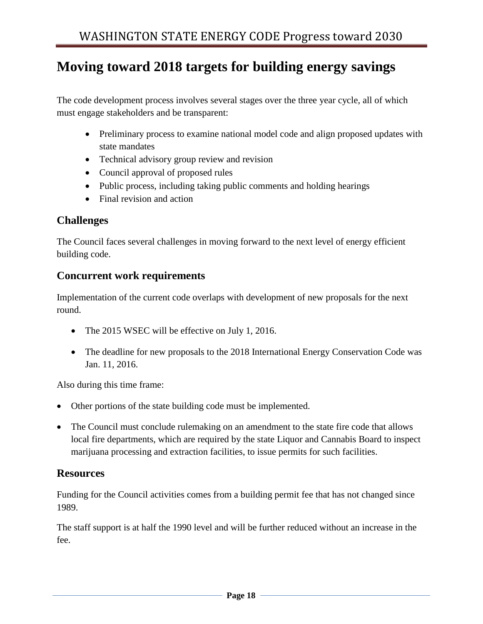## **Moving toward 2018 targets for building energy savings**

The code development process involves several stages over the three year cycle, all of which must engage stakeholders and be transparent:

- Preliminary process to examine national model code and align proposed updates with state mandates
- Technical advisory group review and revision
- Council approval of proposed rules
- Public process, including taking public comments and holding hearings
- Final revision and action

## **Challenges**

The Council faces several challenges in moving forward to the next level of energy efficient building code.

#### **Concurrent work requirements**

Implementation of the current code overlaps with development of new proposals for the next round.

- The 2015 WSEC will be effective on July 1, 2016.
- The deadline for new proposals to the 2018 International Energy Conservation Code was Jan. 11, 2016.

Also during this time frame:

- Other portions of the state building code must be implemented.
- The Council must conclude rulemaking on an amendment to the state fire code that allows local fire departments, which are required by the state Liquor and Cannabis Board to inspect marijuana processing and extraction facilities, to issue permits for such facilities.

## **Resources**

Funding for the Council activities comes from a building permit fee that has not changed since 1989.

The staff support is at half the 1990 level and will be further reduced without an increase in the fee.